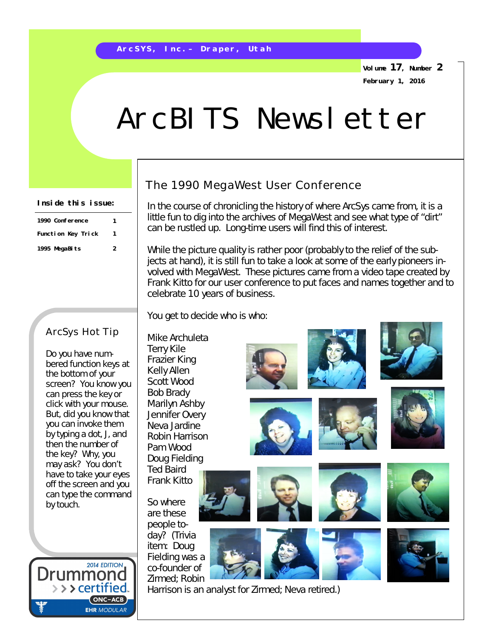**Volume 17, Number 2 February 1, 2016**

# ArcBITS Newsletter

#### **Inside this issue:**

| 1990 Conference    |  |
|--------------------|--|
| Function Key Trick |  |
| 1995 MegaBits      |  |

#### ArcSys Hot Tip

Do you have numbered function keys at the bottom of your screen? You know you can press the key or click with your mouse. But, did you know that you can invoke them by typing a dot, J, and then the number of the key? Why, you may ask? You don't have to take your eyes off the screen and you can type the command by touch.



## The 1990 MegaWest User Conference

In the course of chronicling the history of where ArcSys came from, it is a little fun to dig into the archives of MegaWest and see what type of "dirt" can be rustled up. Long-time users will find this of interest.

While the picture quality is rather poor (probably to the relief of the subjects at hand), it is still fun to take a look at some of the early pioneers involved with MegaWest. These pictures came from a video tape created by Frank Kitto for our user conference to put faces and names together and to celebrate 10 years of business.

You get to decide who is who:

Mike Archuleta Terry Kile Frazier King Kelly Allen Scott Wood Bob Brady Marilyn Ashby Jennifer Overy Neva Jardine Robin Harrison Pam Wood Doug Fielding Ted Baird Frank Kitto

So where are these people today? (Trivia item: Doug Fielding was a co-founder of Zirmed; Robin